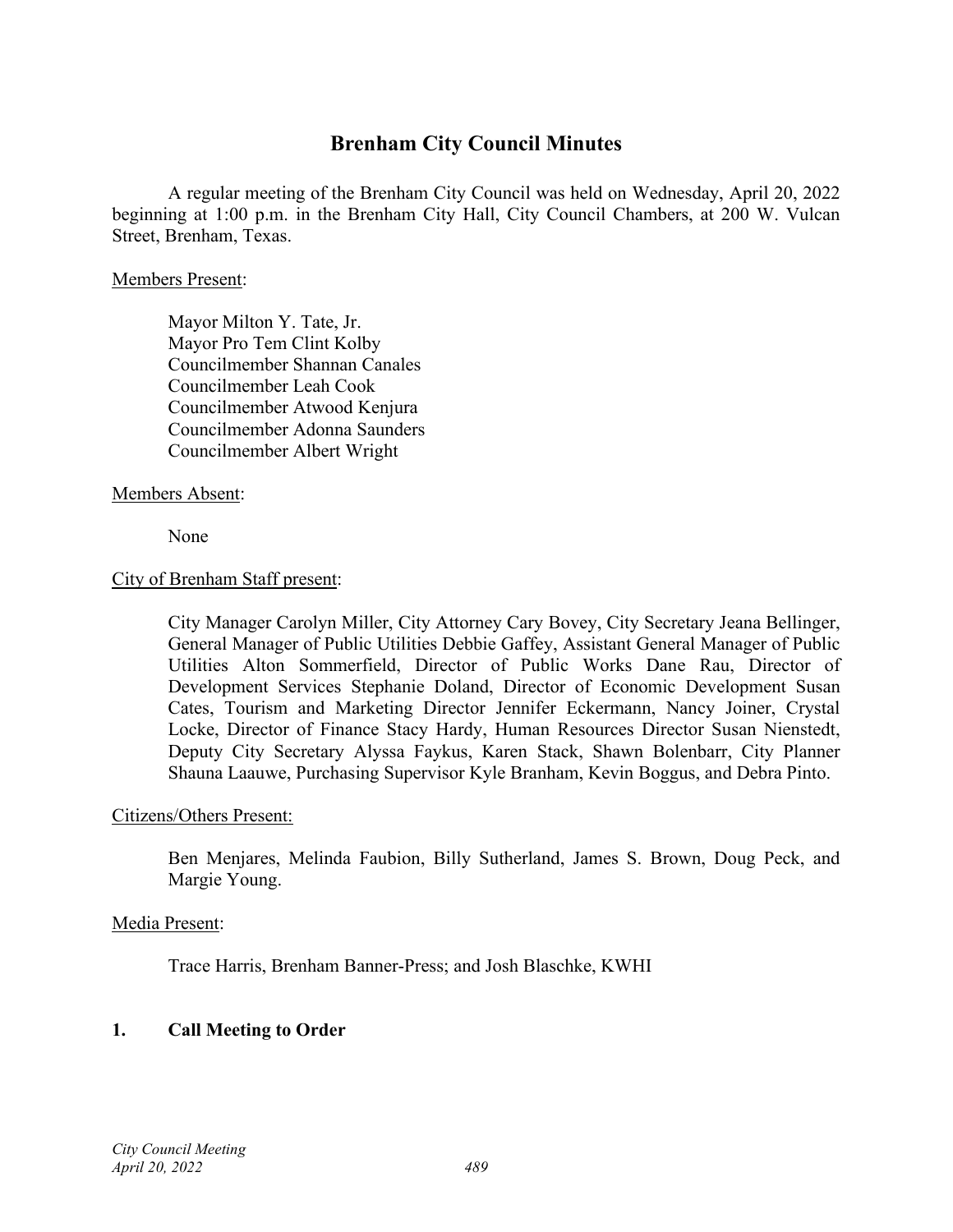# **Brenham City Council Minutes**

A regular meeting of the Brenham City Council was held on Wednesday, April 20, 2022 beginning at 1:00 p.m. in the Brenham City Hall, City Council Chambers, at 200 W. Vulcan Street, Brenham, Texas.

#### Members Present:

Mayor Milton Y. Tate, Jr. Mayor Pro Tem Clint Kolby Councilmember Shannan Canales Councilmember Leah Cook Councilmember Atwood Kenjura Councilmember Adonna Saunders Councilmember Albert Wright

## Members Absent:

None

#### City of Brenham Staff present:

City Manager Carolyn Miller, City Attorney Cary Bovey, City Secretary Jeana Bellinger, General Manager of Public Utilities Debbie Gaffey, Assistant General Manager of Public Utilities Alton Sommerfield, Director of Public Works Dane Rau, Director of Development Services Stephanie Doland, Director of Economic Development Susan Cates, Tourism and Marketing Director Jennifer Eckermann, Nancy Joiner, Crystal Locke, Director of Finance Stacy Hardy, Human Resources Director Susan Nienstedt, Deputy City Secretary Alyssa Faykus, Karen Stack, Shawn Bolenbarr, City Planner Shauna Laauwe, Purchasing Supervisor Kyle Branham, Kevin Boggus, and Debra Pinto.

#### Citizens/Others Present:

Ben Menjares, Melinda Faubion, Billy Sutherland, James S. Brown, Doug Peck, and Margie Young.

#### Media Present:

Trace Harris, Brenham Banner-Press; and Josh Blaschke, KWHI

# **1. Call Meeting to Order**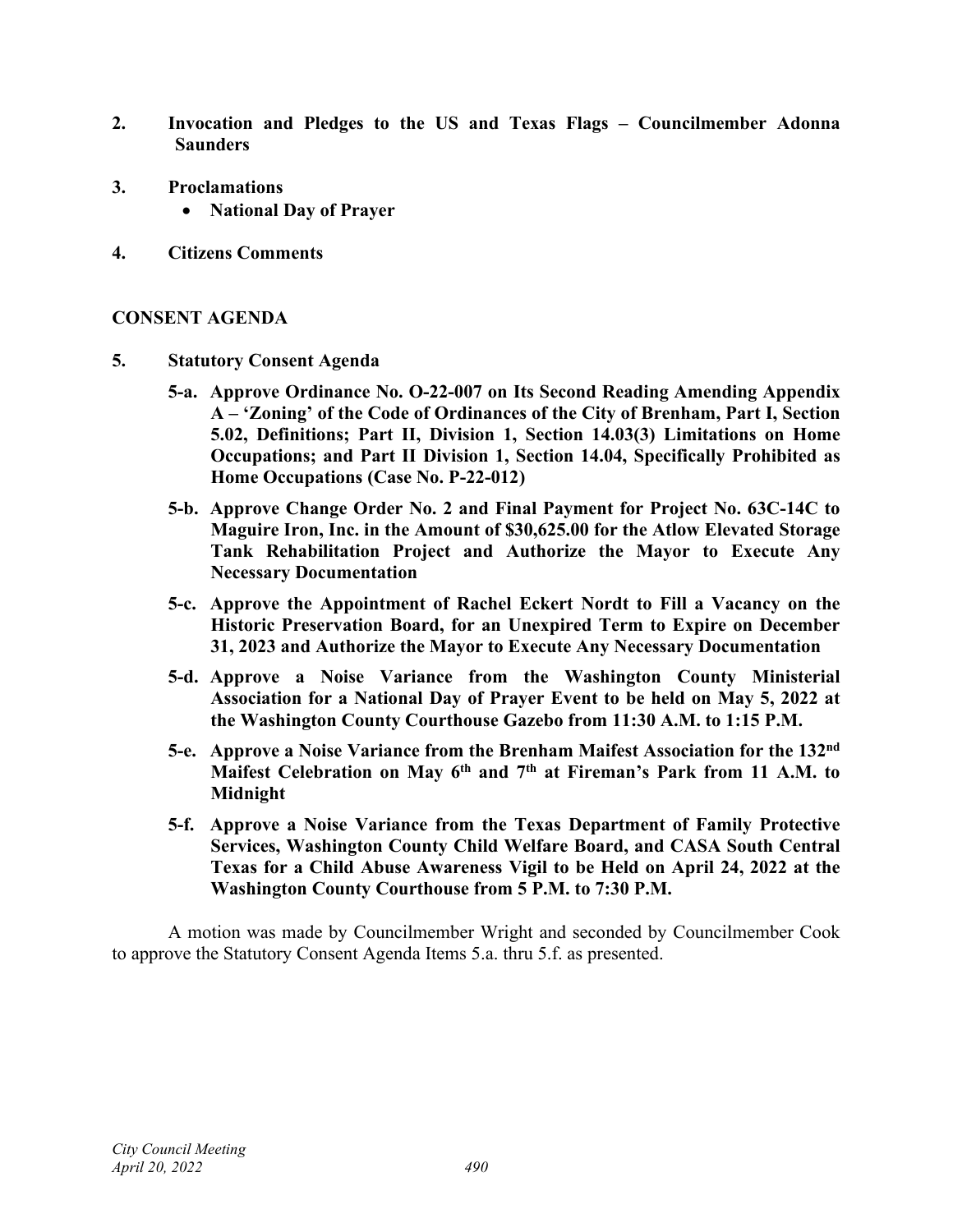- **2. Invocation and Pledges to the US and Texas Flags – Councilmember Adonna Saunders**
- **3. Proclamations**
	- **National Day of Prayer**
- **4. Citizens Comments**

#### **CONSENT AGENDA**

- **5. Statutory Consent Agenda**
	- **5-a. Approve Ordinance No. O-22-007 on Its Second Reading Amending Appendix A – 'Zoning' of the Code of Ordinances of the City of Brenham, Part I, Section 5.02, Definitions; Part II, Division 1, Section 14.03(3) Limitations on Home Occupations; and Part II Division 1, Section 14.04, Specifically Prohibited as Home Occupations (Case No. P-22-012)**
	- **5-b. Approve Change Order No. 2 and Final Payment for Project No. 63C-14C to Maguire Iron, Inc. in the Amount of \$30,625.00 for the Atlow Elevated Storage Tank Rehabilitation Project and Authorize the Mayor to Execute Any Necessary Documentation**
	- **5-c. Approve the Appointment of Rachel Eckert Nordt to Fill a Vacancy on the Historic Preservation Board, for an Unexpired Term to Expire on December 31, 2023 and Authorize the Mayor to Execute Any Necessary Documentation**
	- **5-d. Approve a Noise Variance from the Washington County Ministerial Association for a National Day of Prayer Event to be held on May 5, 2022 at the Washington County Courthouse Gazebo from 11:30 A.M. to 1:15 P.M.**
	- **5-e. Approve a Noise Variance from the Brenham Maifest Association for the 132nd Maifest Celebration on May 6th and 7th at Fireman's Park from 11 A.M. to Midnight**
	- **5-f. Approve a Noise Variance from the Texas Department of Family Protective Services, Washington County Child Welfare Board, and CASA South Central Texas for a Child Abuse Awareness Vigil to be Held on April 24, 2022 at the Washington County Courthouse from 5 P.M. to 7:30 P.M.**

A motion was made by Councilmember Wright and seconded by Councilmember Cook to approve the Statutory Consent Agenda Items 5.a. thru 5.f. as presented.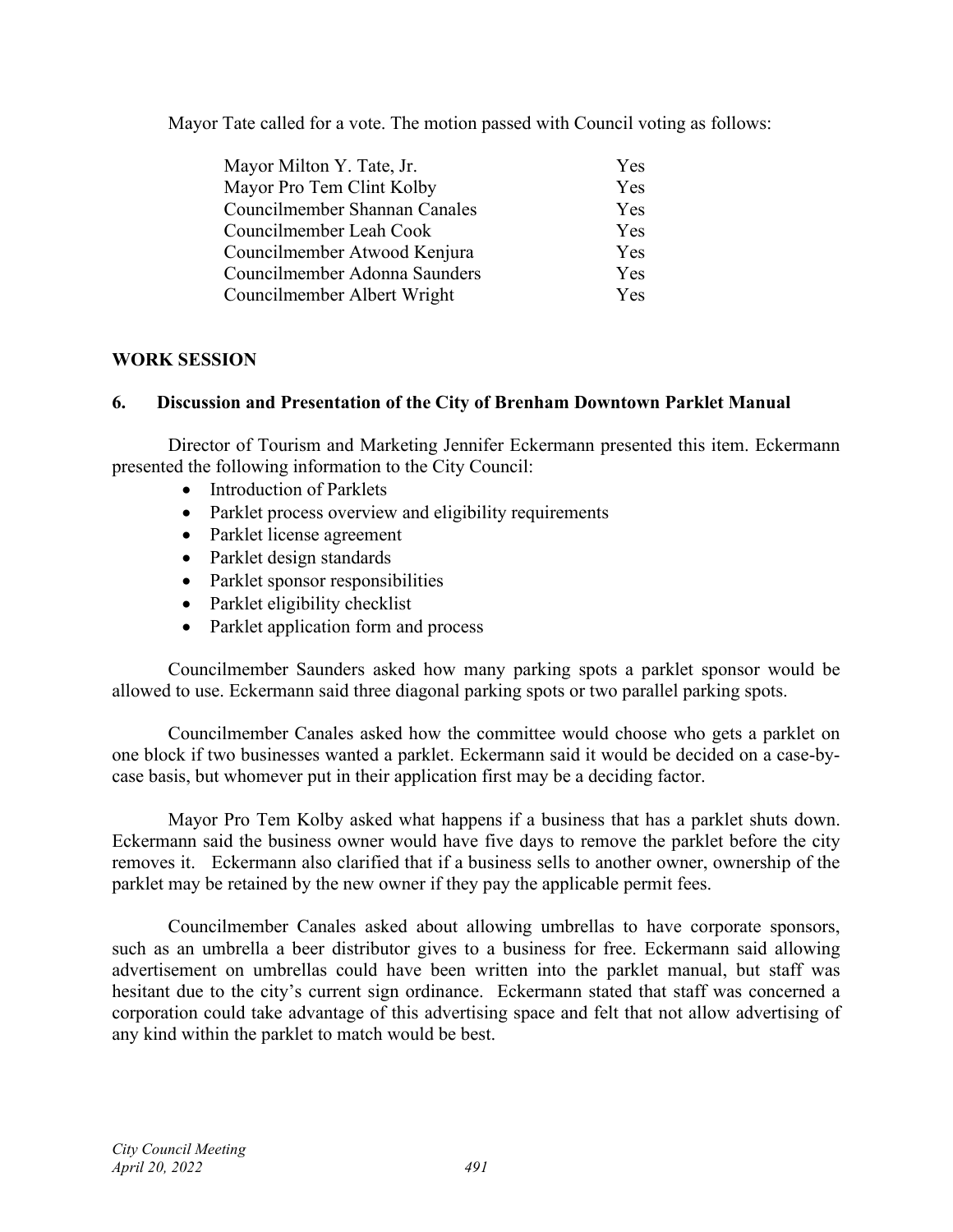Mayor Tate called for a vote. The motion passed with Council voting as follows:

| Mayor Milton Y. Tate, Jr.     | <b>Yes</b> |
|-------------------------------|------------|
| Mayor Pro Tem Clint Kolby     | Yes        |
| Councilmember Shannan Canales | Yes        |
| Councilmember Leah Cook       | <b>Yes</b> |
| Councilmember Atwood Kenjura  | Yes        |
| Councilmember Adonna Saunders | Yes        |
| Councilmember Albert Wright   | <b>Yes</b> |

# **WORK SESSION**

# **6. Discussion and Presentation of the City of Brenham Downtown Parklet Manual**

Director of Tourism and Marketing Jennifer Eckermann presented this item. Eckermann presented the following information to the City Council:

- Introduction of Parklets
- Parklet process overview and eligibility requirements
- Parklet license agreement
- Parklet design standards
- Parklet sponsor responsibilities
- Parklet eligibility checklist
- Parklet application form and process

Councilmember Saunders asked how many parking spots a parklet sponsor would be allowed to use. Eckermann said three diagonal parking spots or two parallel parking spots.

Councilmember Canales asked how the committee would choose who gets a parklet on one block if two businesses wanted a parklet. Eckermann said it would be decided on a case-bycase basis, but whomever put in their application first may be a deciding factor.

Mayor Pro Tem Kolby asked what happens if a business that has a parklet shuts down. Eckermann said the business owner would have five days to remove the parklet before the city removes it. Eckermann also clarified that if a business sells to another owner, ownership of the parklet may be retained by the new owner if they pay the applicable permit fees.

Councilmember Canales asked about allowing umbrellas to have corporate sponsors, such as an umbrella a beer distributor gives to a business for free. Eckermann said allowing advertisement on umbrellas could have been written into the parklet manual, but staff was hesitant due to the city's current sign ordinance. Eckermann stated that staff was concerned a corporation could take advantage of this advertising space and felt that not allow advertising of any kind within the parklet to match would be best.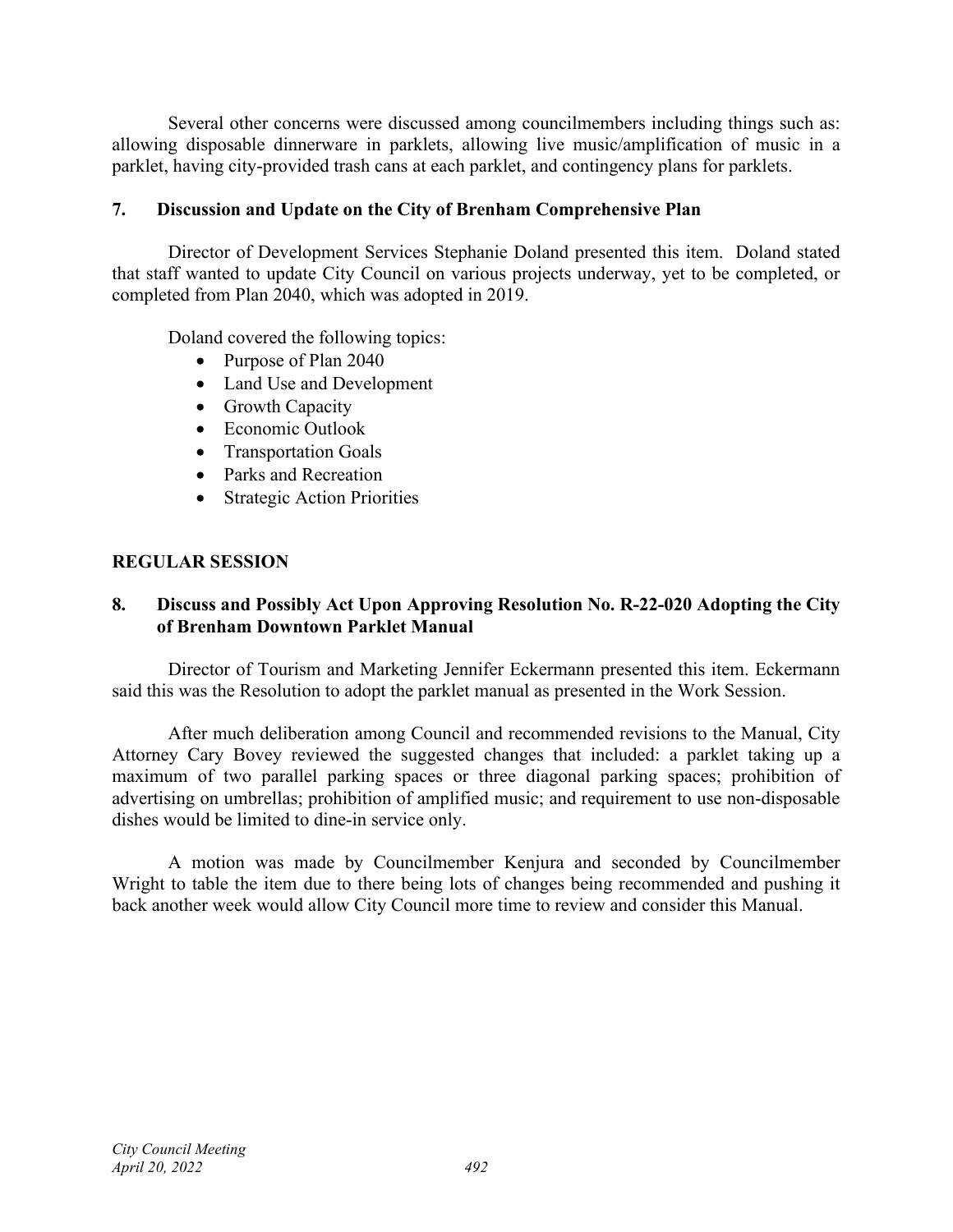Several other concerns were discussed among councilmembers including things such as: allowing disposable dinnerware in parklets, allowing live music/amplification of music in a parklet, having city-provided trash cans at each parklet, and contingency plans for parklets.

# **7. Discussion and Update on the City of Brenham Comprehensive Plan**

Director of Development Services Stephanie Doland presented this item. Doland stated that staff wanted to update City Council on various projects underway, yet to be completed, or completed from Plan 2040, which was adopted in 2019.

Doland covered the following topics:

- Purpose of Plan 2040
- Land Use and Development
- Growth Capacity
- Economic Outlook
- Transportation Goals
- Parks and Recreation
- Strategic Action Priorities

## **REGULAR SESSION**

## **8. Discuss and Possibly Act Upon Approving Resolution No. R-22-020 Adopting the City of Brenham Downtown Parklet Manual**

Director of Tourism and Marketing Jennifer Eckermann presented this item. Eckermann said this was the Resolution to adopt the parklet manual as presented in the Work Session.

After much deliberation among Council and recommended revisions to the Manual, City Attorney Cary Bovey reviewed the suggested changes that included: a parklet taking up a maximum of two parallel parking spaces or three diagonal parking spaces; prohibition of advertising on umbrellas; prohibition of amplified music; and requirement to use non-disposable dishes would be limited to dine-in service only.

A motion was made by Councilmember Kenjura and seconded by Councilmember Wright to table the item due to there being lots of changes being recommended and pushing it back another week would allow City Council more time to review and consider this Manual.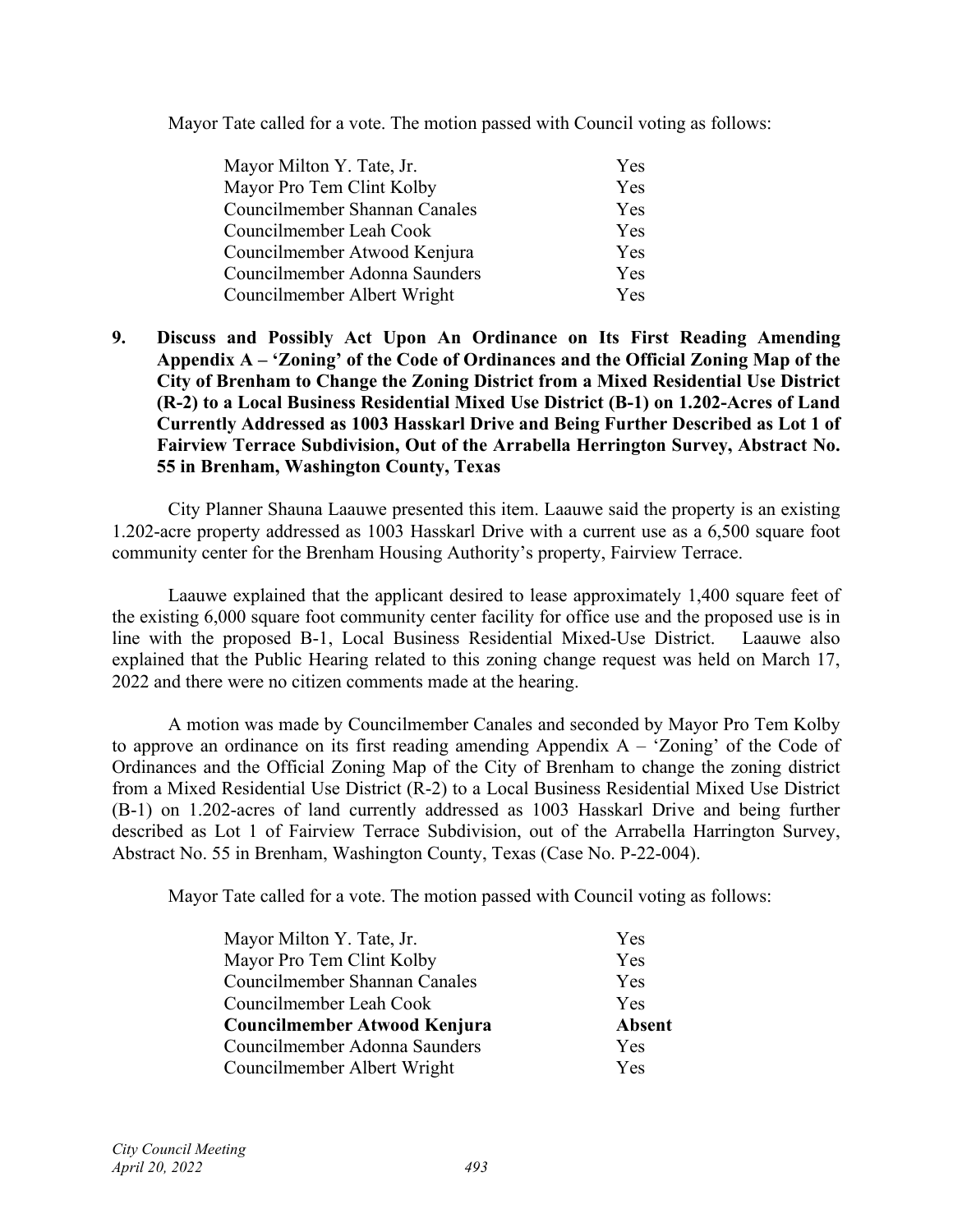Mayor Tate called for a vote. The motion passed with Council voting as follows:

| Mayor Milton Y. Tate, Jr.     | Yes        |
|-------------------------------|------------|
| Mayor Pro Tem Clint Kolby     | Yes        |
| Councilmember Shannan Canales | Yes        |
| Councilmember Leah Cook       | <b>Yes</b> |
| Councilmember Atwood Kenjura  | Yes        |
| Councilmember Adonna Saunders | Yes        |
| Councilmember Albert Wright   | <b>Yes</b> |

## **9. Discuss and Possibly Act Upon An Ordinance on Its First Reading Amending Appendix A – 'Zoning' of the Code of Ordinances and the Official Zoning Map of the City of Brenham to Change the Zoning District from a Mixed Residential Use District (R-2) to a Local Business Residential Mixed Use District (B-1) on 1.202-Acres of Land Currently Addressed as 1003 Hasskarl Drive and Being Further Described as Lot 1 of Fairview Terrace Subdivision, Out of the Arrabella Herrington Survey, Abstract No. 55 in Brenham, Washington County, Texas**

City Planner Shauna Laauwe presented this item. Laauwe said the property is an existing 1.202-acre property addressed as 1003 Hasskarl Drive with a current use as a 6,500 square foot community center for the Brenham Housing Authority's property, Fairview Terrace.

Laauwe explained that the applicant desired to lease approximately 1,400 square feet of the existing 6,000 square foot community center facility for office use and the proposed use is in line with the proposed B-1, Local Business Residential Mixed-Use District. Laauwe also explained that the Public Hearing related to this zoning change request was held on March 17, 2022 and there were no citizen comments made at the hearing.

A motion was made by Councilmember Canales and seconded by Mayor Pro Tem Kolby to approve an ordinance on its first reading amending Appendix  $A - 'Zoning'$  of the Code of Ordinances and the Official Zoning Map of the City of Brenham to change the zoning district from a Mixed Residential Use District (R-2) to a Local Business Residential Mixed Use District (B-1) on 1.202-acres of land currently addressed as 1003 Hasskarl Drive and being further described as Lot 1 of Fairview Terrace Subdivision, out of the Arrabella Harrington Survey, Abstract No. 55 in Brenham, Washington County, Texas (Case No. P-22-004).

Mayor Tate called for a vote. The motion passed with Council voting as follows:

| Mayor Milton Y. Tate, Jr.     | <b>Yes</b>    |
|-------------------------------|---------------|
| Mayor Pro Tem Clint Kolby     | Yes           |
| Councilmember Shannan Canales | Yes           |
| Councilmember Leah Cook       | Yes           |
| Councilmember Atwood Kenjura  | <b>Absent</b> |
| Councilmember Adonna Saunders | <b>Yes</b>    |
| Councilmember Albert Wright   | Yes           |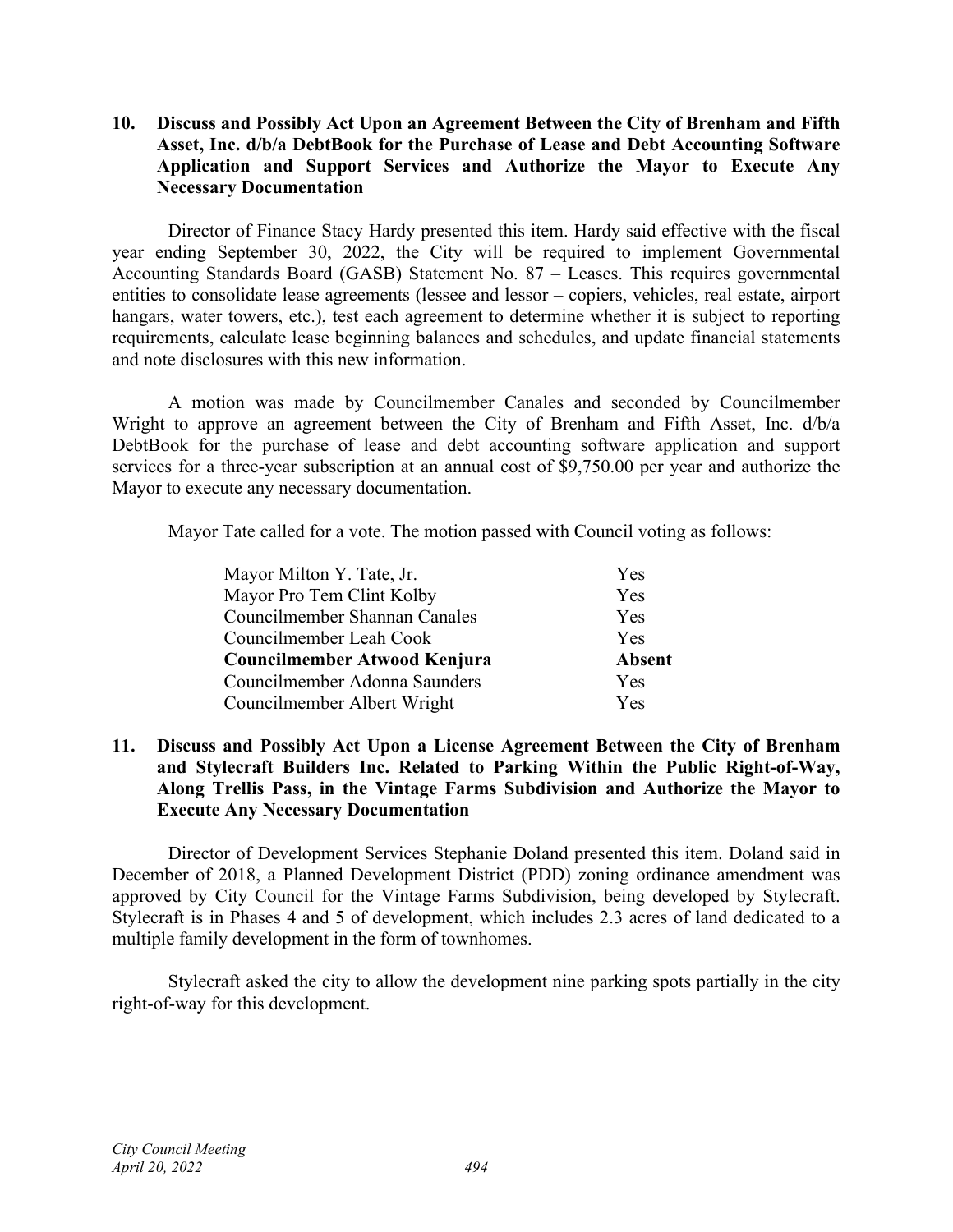## **10. Discuss and Possibly Act Upon an Agreement Between the City of Brenham and Fifth Asset, Inc. d/b/a DebtBook for the Purchase of Lease and Debt Accounting Software Application and Support Services and Authorize the Mayor to Execute Any Necessary Documentation**

Director of Finance Stacy Hardy presented this item. Hardy said effective with the fiscal year ending September 30, 2022, the City will be required to implement Governmental Accounting Standards Board (GASB) Statement No. 87 – Leases. This requires governmental entities to consolidate lease agreements (lessee and lessor – copiers, vehicles, real estate, airport hangars, water towers, etc.), test each agreement to determine whether it is subject to reporting requirements, calculate lease beginning balances and schedules, and update financial statements and note disclosures with this new information.

A motion was made by Councilmember Canales and seconded by Councilmember Wright to approve an agreement between the City of Brenham and Fifth Asset, Inc. d/b/a DebtBook for the purchase of lease and debt accounting software application and support services for a three-year subscription at an annual cost of \$9,750.00 per year and authorize the Mayor to execute any necessary documentation.

Mayor Tate called for a vote. The motion passed with Council voting as follows:

| Mayor Milton Y. Tate, Jr.     | Yes           |
|-------------------------------|---------------|
| Mayor Pro Tem Clint Kolby     | Yes           |
| Councilmember Shannan Canales | Yes           |
| Councilmember Leah Cook       | Yes           |
| Councilmember Atwood Kenjura  | <b>Absent</b> |
| Councilmember Adonna Saunders | <b>Yes</b>    |
| Councilmember Albert Wright   | Yes           |

## **11. Discuss and Possibly Act Upon a License Agreement Between the City of Brenham and Stylecraft Builders Inc. Related to Parking Within the Public Right-of-Way, Along Trellis Pass, in the Vintage Farms Subdivision and Authorize the Mayor to Execute Any Necessary Documentation**

Director of Development Services Stephanie Doland presented this item. Doland said in December of 2018, a Planned Development District (PDD) zoning ordinance amendment was approved by City Council for the Vintage Farms Subdivision, being developed by Stylecraft. Stylecraft is in Phases 4 and 5 of development, which includes 2.3 acres of land dedicated to a multiple family development in the form of townhomes.

Stylecraft asked the city to allow the development nine parking spots partially in the city right-of-way for this development.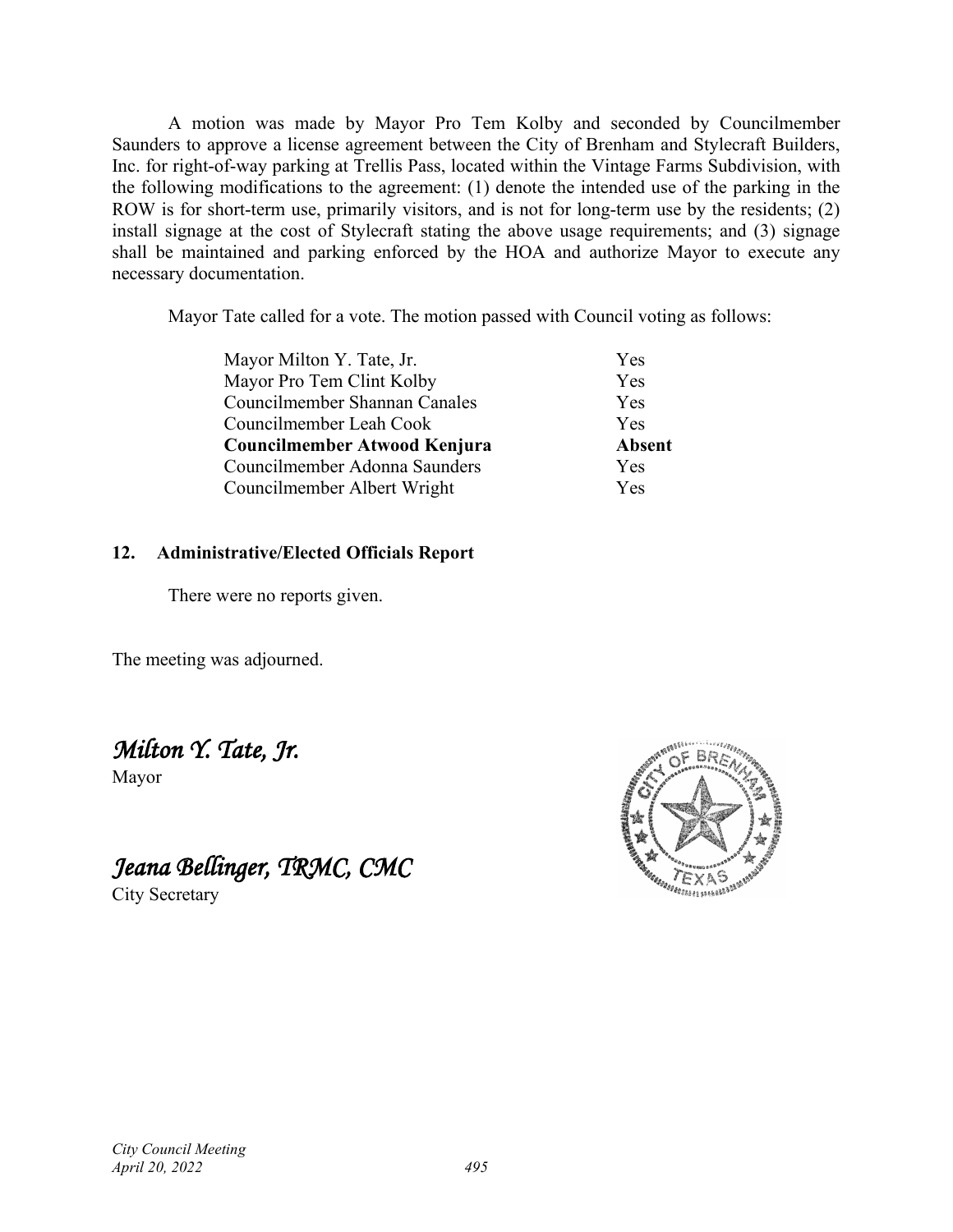A motion was made by Mayor Pro Tem Kolby and seconded by Councilmember Saunders to approve a license agreement between the City of Brenham and Stylecraft Builders, Inc. for right-of-way parking at Trellis Pass, located within the Vintage Farms Subdivision, with the following modifications to the agreement: (1) denote the intended use of the parking in the ROW is for short-term use, primarily visitors, and is not for long-term use by the residents; (2) install signage at the cost of Stylecraft stating the above usage requirements; and (3) signage shall be maintained and parking enforced by the HOA and authorize Mayor to execute any necessary documentation.

Mayor Tate called for a vote. The motion passed with Council voting as follows:

| Mayor Milton Y. Tate, Jr.     | Yes           |
|-------------------------------|---------------|
| Mayor Pro Tem Clint Kolby     | Yes           |
| Councilmember Shannan Canales | Yes           |
| Councilmember Leah Cook       | Yes           |
| Councilmember Atwood Kenjura  | <b>Absent</b> |
| Councilmember Adonna Saunders | <b>Yes</b>    |
| Councilmember Albert Wright   | <b>Yes</b>    |

# **12. Administrative/Elected Officials Report**

There were no reports given.

The meeting was adjourned.

*Milton Y. Tate, Jr.* 

Mayor

*Jeana Bellinger, TRMC, CMC* 

City Secretary